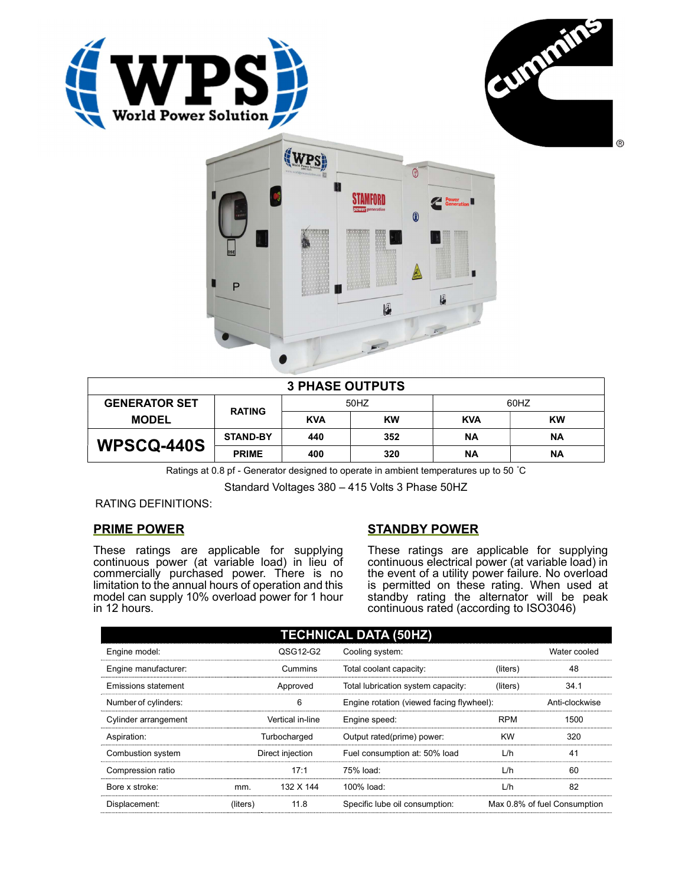





| <b>3 PHASE OUTPUTS</b> |                 |            |           |            |           |  |
|------------------------|-----------------|------------|-----------|------------|-----------|--|
| <b>GENERATOR SET</b>   | <b>RATING</b>   | 50HZ       |           | 60HZ       |           |  |
| <b>MODEL</b>           |                 | <b>KVA</b> | <b>KW</b> | <b>KVA</b> | KW        |  |
| <b>WPSCQ-440S</b>      | <b>STAND-BY</b> | 440        | 352       | ΝA         | <b>NA</b> |  |
|                        | <b>PRIME</b>    | 400        | 320       | ΝA         | ΝA        |  |

Ratings at 0.8 pf - Generator designed to operate in ambient temperatures up to 50 °C

Standard Voltages 380 – 415 Volts 3 Phase 50HZ

RATING DEFINITIONS:

## PRIME POWER

These ratings are applicable for supplying continuous power (at variable load) in lieu of commercially purchased power. There is no limitation to the annual hours of operation and this model can supply 10% overload power for 1 hour in 12 hours.

## STANDBY POWER

These ratings are applicable for supplying continuous electrical power (at variable load) in the event of a utility power failure. No overload is permitted on these rating. When used at standby rating the alternator will be peak continuous rated (according to ISO3046)

| <b>TECHNICAL DATA (50HZ)</b> |                  |           |                                           |            |                              |
|------------------------------|------------------|-----------|-------------------------------------------|------------|------------------------------|
| Engine model:                |                  | QSG12-G2  | Cooling system:                           |            | Water cooled                 |
| Engine manufacturer:         |                  | Cummins   | Total coolant capacity:                   | (liters)   | 48                           |
| Emissions statement          | Approved         |           | Total lubrication system capacity:        | (liters)   | 34.1                         |
| Number of cylinders:         | 6                |           | Engine rotation (viewed facing flywheel): |            | Anti-clockwise               |
| Cylinder arrangement         | Vertical in-line |           | Engine speed:                             | <b>RPM</b> | 1500                         |
| Aspiration:                  | Turbocharged     |           | Output rated(prime) power:                | <b>KW</b>  | 320                          |
| Combustion system            | Direct injection |           | Fuel consumption at: 50% load             | L/h        | 41                           |
| Compression ratio            |                  | 17:1      | 75% load:                                 | L/h        | 60                           |
| Bore x stroke:               | mm.              | 132 X 144 | 100% load:                                | L/h        | 82                           |
| Displacement:                | (liters)         | 11.8      | Specific lube oil consumption:            |            | Max 0.8% of fuel Consumption |